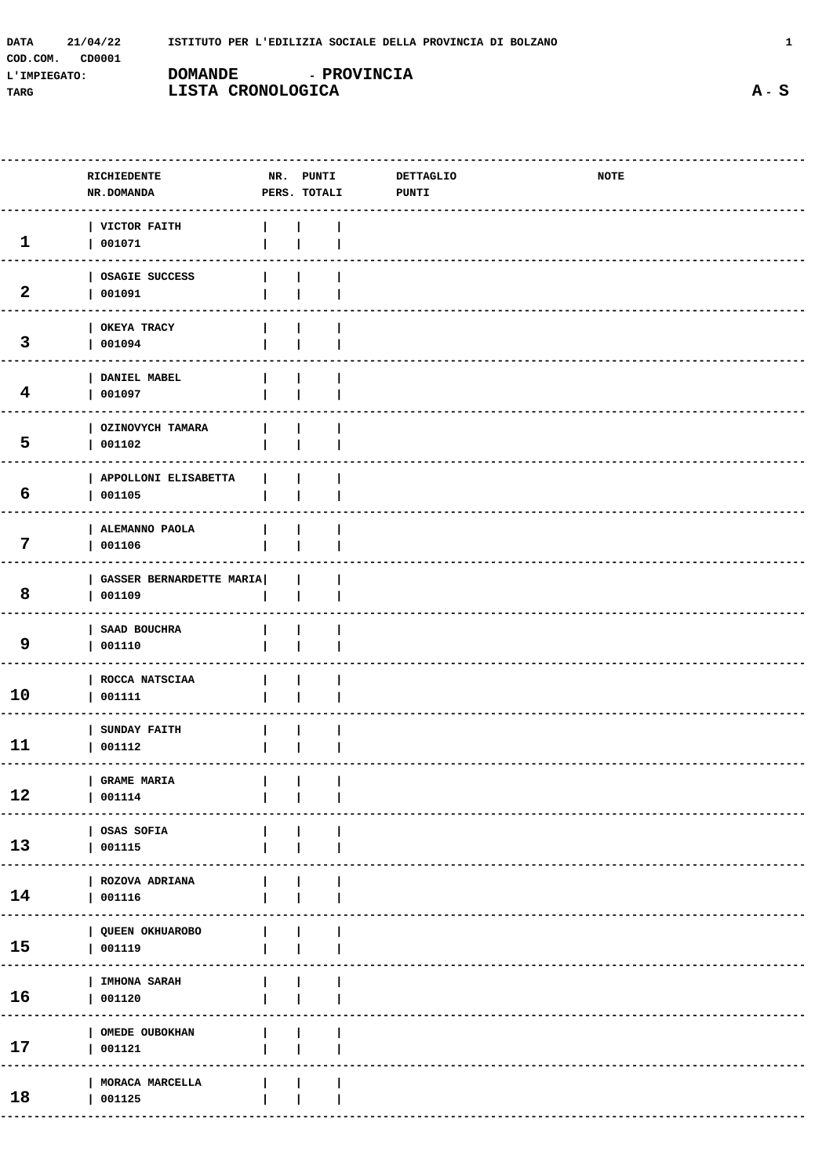| 21/04/22<br>DATA   |                   | ISTITUTO PER L'EDILIZIA SOCIALE DELLA PROVINCIA DI BOLZANO |  |
|--------------------|-------------------|------------------------------------------------------------|--|
| CD0001<br>COD.COM. |                   |                                                            |  |
| L'IMPIEGATO:       | <b>DOMANDE</b>    | <b>- PROVINCIA</b>                                         |  |
| TARG               | LISTA CRONOLOGICA |                                                            |  |

| RICHIEDENTE<br><b>NR.DOMANDA</b> |                                 | DETTAGLIO<br>PUNTI | NOTE         |  |
|----------------------------------|---------------------------------|--------------------|--------------|--|
| VICTOR FAITH<br>001071           |                                 |                    |              |  |
| OSAGIE SUCCESS<br>001091         |                                 |                    |              |  |
| OKEYA TRACY<br>001094            |                                 |                    |              |  |
| DANIEL MABEL<br>001097           |                                 |                    |              |  |
| OZINOVYCH TAMARA<br>001102       |                                 |                    |              |  |
| APPOLLONI ELISABETTA<br>001105   |                                 |                    |              |  |
| ALEMANNO PAOLA<br>001106         |                                 |                    |              |  |
| 001109                           |                                 |                    |              |  |
| SAAD BOUCHRA<br>001110           |                                 |                    |              |  |
| ROCCA NATSCIAA<br>001111         |                                 |                    |              |  |
| SUNDAY FAITH<br>001112           |                                 |                    |              |  |
| GRAME MARIA<br>001114            |                                 |                    |              |  |
| OSAS SOFIA<br>001115             |                                 |                    |              |  |
| ROZOVA ADRIANA<br>001116         |                                 |                    |              |  |
| QUEEN OKHUAROBO<br>001119        |                                 |                    |              |  |
| IMHONA SARAH<br>001120           |                                 |                    |              |  |
| OMEDE OUBOKHAN<br>001121         |                                 |                    |              |  |
| MORACA MARCELLA<br>001125        |                                 |                    |              |  |
|                                  | <b>GASSER BERNARDETTE MARIA</b> | NR. PUNTI          | PERS. TOTALI |  |

 $A - S$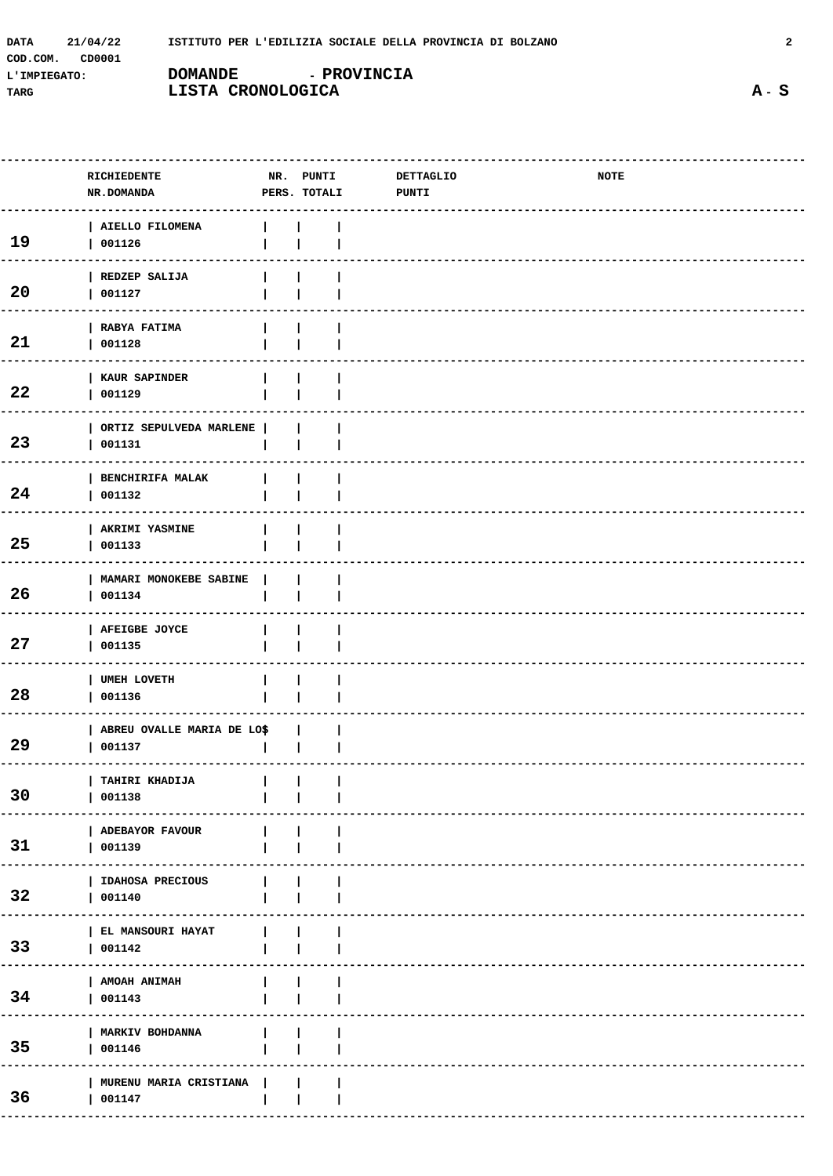| <b>DATA</b>  | 21/04/22 | ISTITUTO PER L'EDILIZIA SOCIALE DELLA PROVINCIA DI BOLZANO |                    |  |
|--------------|----------|------------------------------------------------------------|--------------------|--|
| COD.COM.     | CD0001   |                                                            |                    |  |
| L'IMPIEGATO: |          | <b>DOMANDE</b>                                             | <b>- PROVINCIA</b> |  |
| TARG         |          | LISTA CRONOLOGICA                                          |                    |  |

|    | RICHIEDENTE<br>NR.DOMANDA              |              | NR. PUNTI<br>PERS. TOTALI | DETTAGLIO<br><b>PUNTI</b> | NOTE |  |
|----|----------------------------------------|--------------|---------------------------|---------------------------|------|--|
|    |                                        |              |                           |                           |      |  |
| 19 | AIELLO FILOMENA<br>001126              |              |                           |                           |      |  |
| 20 | REDZEP SALIJA<br>001127                |              |                           |                           |      |  |
| 21 | RABYA FATIMA<br>001128                 |              |                           |                           |      |  |
| 22 | KAUR SAPINDER<br>001129                |              |                           |                           |      |  |
| 23 | ORTIZ SEPULVEDA MARLENE  <br>001131    |              |                           |                           |      |  |
| 24 | BENCHIRIFA MALAK<br>001132             |              |                           |                           |      |  |
| 25 | AKRIMI YASMINE<br>001133               |              |                           |                           |      |  |
| 26 | MAMARI MONOKEBE SABINE<br>001134       |              |                           |                           |      |  |
| 27 | AFEIGBE JOYCE<br>001135                |              |                           |                           |      |  |
| 28 | UMEH LOVETH<br>001136                  |              |                           |                           |      |  |
| 29 | ABREU OVALLE MARIA DE LO\$<br>  001137 |              |                           |                           |      |  |
| 30 | TAHIRI KHADIJA      <br>  001138       |              |                           |                           |      |  |
| 31 | ADEBAYOR FAVOUR<br>  001139            |              |                           |                           |      |  |
| 32 | IDAHOSA PRECIOUS<br>  001140           |              |                           |                           |      |  |
| 33 | EL MANSOURI HAYAT<br>  001142          | $\mathbf{L}$ |                           |                           |      |  |
| 34 | AMOAH ANIMAH<br>  001143               | $\mathbf{L}$ |                           |                           |      |  |
| 35 | MARKIV BOHDANNA<br>  001146            | $\mathbf{L}$ |                           |                           |      |  |
| 36 | MURENU MARIA CRISTIANA  <br>  001147   |              |                           |                           |      |  |
|    |                                        |              |                           |                           |      |  |

 $A - S$